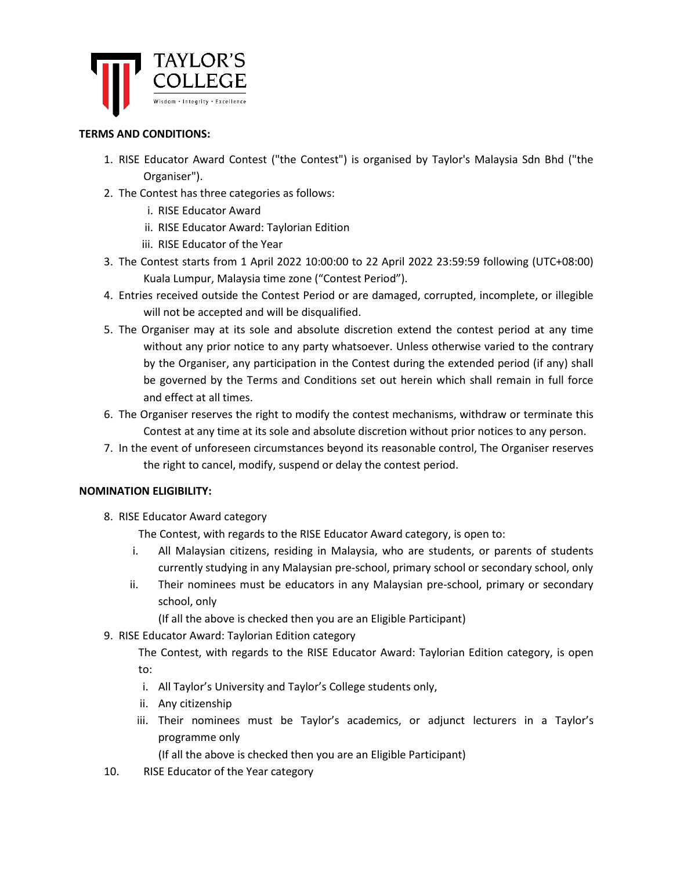

### **TERMS AND CONDITIONS:**

- 1. RISE Educator Award Contest ("the Contest") is organised by Taylor's Malaysia Sdn Bhd ("the Organiser").
- 2. The Contest has three categories as follows:
	- i. RISE Educator Award
	- ii. RISE Educator Award: Taylorian Edition
	- iii. RISE Educator of the Year
- 3. The Contest starts from 1 April 2022 10:00:00 to 22 April 2022 23:59:59 following (UTC+08:00) Kuala Lumpur, Malaysia time zone ("Contest Period").
- 4. Entries received outside the Contest Period or are damaged, corrupted, incomplete, or illegible will not be accepted and will be disqualified.
- 5. The Organiser may at its sole and absolute discretion extend the contest period at any time without any prior notice to any party whatsoever. Unless otherwise varied to the contrary by the Organiser, any participation in the Contest during the extended period (if any) shall be governed by the Terms and Conditions set out herein which shall remain in full force and effect at all times.
- 6. The Organiser reserves the right to modify the contest mechanisms, withdraw or terminate this Contest at any time at its sole and absolute discretion without prior notices to any person.
- 7. In the event of unforeseen circumstances beyond its reasonable control, The Organiser reserves the right to cancel, modify, suspend or delay the contest period.

### **NOMINATION ELIGIBILITY:**

8. RISE Educator Award category

The Contest, with regards to the RISE Educator Award category, is open to:

- i. All Malaysian citizens, residing in Malaysia, who are students, or parents of students currently studying in any Malaysian pre-school, primary school or secondary school, only
- ii. Their nominees must be educators in any Malaysian pre-school, primary or secondary school, only

(If all the above is checked then you are an Eligible Participant)

9. RISE Educator Award: Taylorian Edition category

The Contest, with regards to the RISE Educator Award: Taylorian Edition category, is open to:

- i. All Taylor's University and Taylor's College students only,
- ii. Any citizenship
- iii. Their nominees must be Taylor's academics, or adjunct lecturers in a Taylor's programme only

(If all the above is checked then you are an Eligible Participant)

10. RISE Educator of the Year category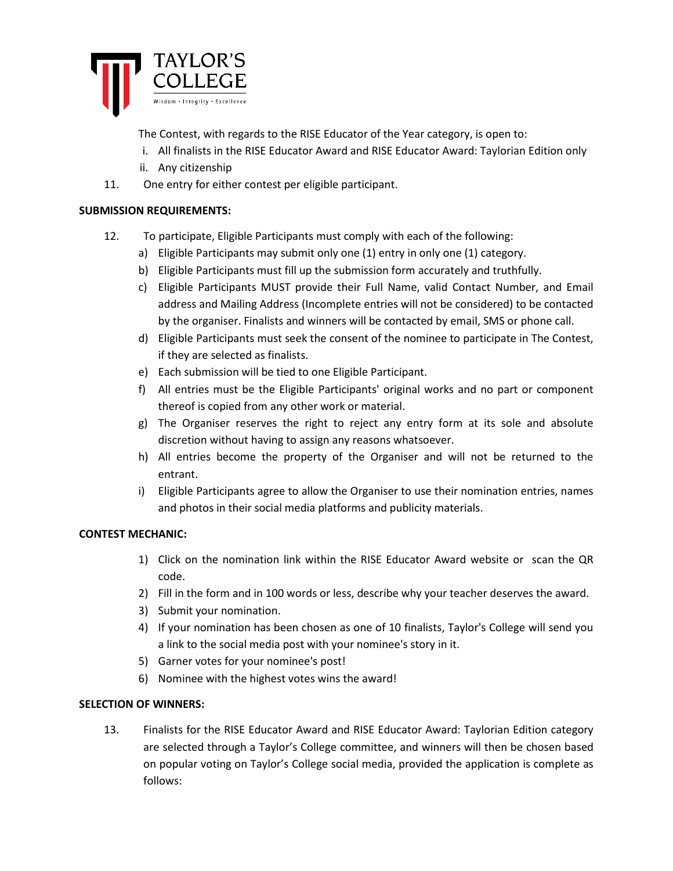

The Contest, with regards to the RISE Educator of the Year category, is open to:

- i. All finalists in the RISE Educator Award and RISE Educator Award: Taylorian Edition only
- ii. Any citizenship
- 11. One entry for either contest per eligible participant.

## **SUBMISSION REQUIREMENTS:**

- 12. To participate, Eligible Participants must comply with each of the following:
	- a) Eligible Participants may submit only one (1) entry in only one (1) category.
	- b) Eligible Participants must fill up the submission form accurately and truthfully.
	- c) Eligible Participants MUST provide their Full Name, valid Contact Number, and Email address and Mailing Address (Incomplete entries will not be considered) to be contacted by the organiser. Finalists and winners will be contacted by email, SMS or phone call.
	- d) Eligible Participants must seek the consent of the nominee to participate in The Contest, if they are selected as finalists.
	- e) Each submission will be tied to one Eligible Participant.
	- f) All entries must be the Eligible Participants' original works and no part or component thereof is copied from any other work or material.
	- g) The Organiser reserves the right to reject any entry form at its sole and absolute discretion without having to assign any reasons whatsoever.
	- h) All entries become the property of the Organiser and will not be returned to the entrant.
	- i) Eligible Participants agree to allow the Organiser to use their nomination entries, names and photos in their social media platforms and publicity materials.

# **CONTEST MECHANIC:**

- 1) Click on the nomination link within the RISE Educator Award website or scan the QR code.
- 2) Fill in the form and in 100 words or less, describe why your teacher deserves the award.
- 3) Submit your nomination.
- 4) If your nomination has been chosen as one of 10 finalists, Taylor's College will send you a link to the social media post with your nominee's story in it.
- 5) Garner votes for your nominee's post!
- 6) Nominee with the highest votes wins the award!

# **SELECTION OF WINNERS:**

13. Finalists for the RISE Educator Award and RISE Educator Award: Taylorian Edition category are selected through a Taylor's College committee, and winners will then be chosen based on popular voting on Taylor's College social media, provided the application is complete as follows: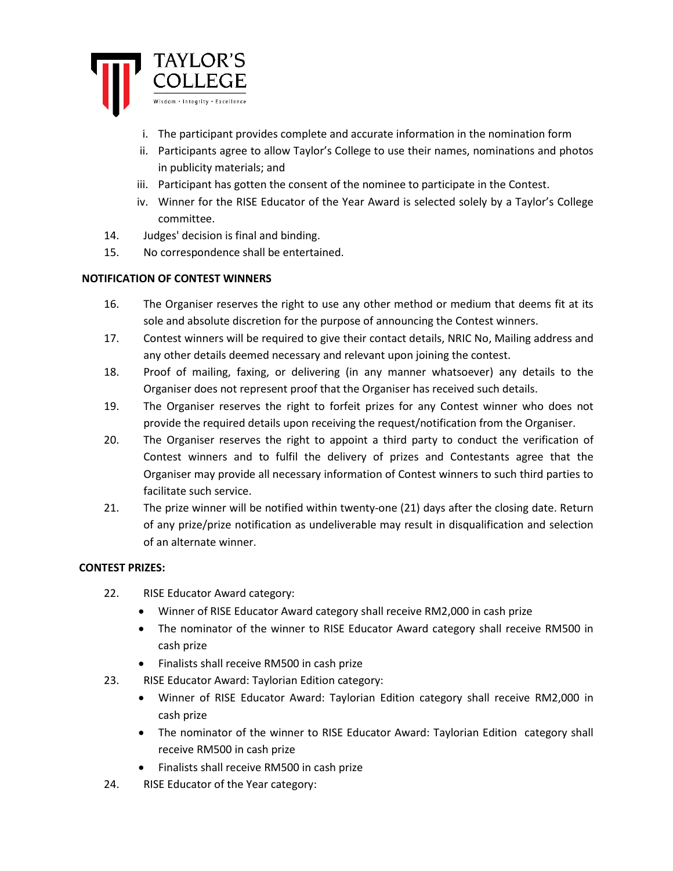

- i. The participant provides complete and accurate information in the nomination form
- ii. Participants agree to allow Taylor's College to use their names, nominations and photos in publicity materials; and
- iii. Participant has gotten the consent of the nominee to participate in the Contest.
- iv. Winner for the RISE Educator of the Year Award is selected solely by a Taylor's College committee.
- 14. Judges' decision is final and binding.
- 15. No correspondence shall be entertained.

## **NOTIFICATION OF CONTEST WINNERS**

- 16. The Organiser reserves the right to use any other method or medium that deems fit at its sole and absolute discretion for the purpose of announcing the Contest winners.
- 17. Contest winners will be required to give their contact details, NRIC No, Mailing address and any other details deemed necessary and relevant upon joining the contest.
- 18. Proof of mailing, faxing, or delivering (in any manner whatsoever) any details to the Organiser does not represent proof that the Organiser has received such details.
- 19. The Organiser reserves the right to forfeit prizes for any Contest winner who does not provide the required details upon receiving the request/notification from the Organiser.
- 20. The Organiser reserves the right to appoint a third party to conduct the verification of Contest winners and to fulfil the delivery of prizes and Contestants agree that the Organiser may provide all necessary information of Contest winners to such third parties to facilitate such service.
- 21. The prize winner will be notified within twenty-one (21) days after the closing date. Return of any prize/prize notification as undeliverable may result in disqualification and selection of an alternate winner.

### **CONTEST PRIZES:**

- 22. RISE Educator Award category:
	- Winner of RISE Educator Award category shall receive RM2,000 in cash prize
	- The nominator of the winner to RISE Educator Award category shall receive RM500 in cash prize
	- Finalists shall receive RM500 in cash prize
- 23. RISE Educator Award: Taylorian Edition category:
	- Winner of RISE Educator Award: Taylorian Edition category shall receive RM2,000 in cash prize
	- The nominator of the winner to RISE Educator Award: Taylorian Edition category shall receive RM500 in cash prize
	- Finalists shall receive RM500 in cash prize
- 24. RISE Educator of the Year category: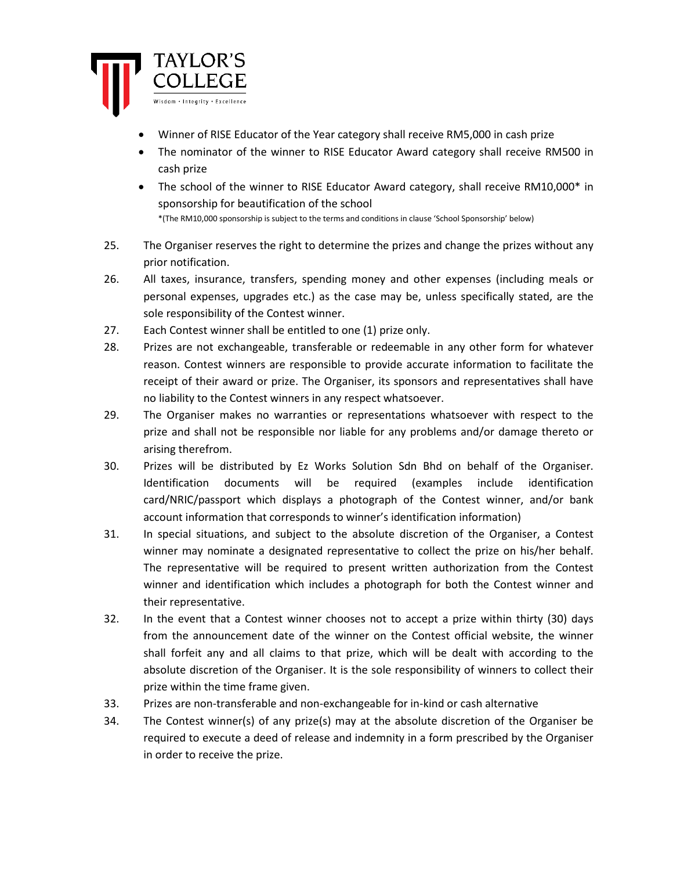

- Winner of RISE Educator of the Year category shall receive RM5,000 in cash prize
- The nominator of the winner to RISE Educator Award category shall receive RM500 in cash prize
- The school of the winner to RISE Educator Award category, shall receive RM10,000\* in sponsorship for beautification of the school \*(The RM10,000 sponsorship is subject to the terms and conditions in clause 'School Sponsorship' below)
- 25. The Organiser reserves the right to determine the prizes and change the prizes without any prior notification.
- 26. All taxes, insurance, transfers, spending money and other expenses (including meals or personal expenses, upgrades etc.) as the case may be, unless specifically stated, are the sole responsibility of the Contest winner.
- 27. Each Contest winner shall be entitled to one (1) prize only.
- 28. Prizes are not exchangeable, transferable or redeemable in any other form for whatever reason. Contest winners are responsible to provide accurate information to facilitate the receipt of their award or prize. The Organiser, its sponsors and representatives shall have no liability to the Contest winners in any respect whatsoever.
- 29. The Organiser makes no warranties or representations whatsoever with respect to the prize and shall not be responsible nor liable for any problems and/or damage thereto or arising therefrom.
- 30. Prizes will be distributed by Ez Works Solution Sdn Bhd on behalf of the Organiser. Identification documents will be required (examples include identification card/NRIC/passport which displays a photograph of the Contest winner, and/or bank account information that corresponds to winner's identification information)
- 31. In special situations, and subject to the absolute discretion of the Organiser, a Contest winner may nominate a designated representative to collect the prize on his/her behalf. The representative will be required to present written authorization from the Contest winner and identification which includes a photograph for both the Contest winner and their representative.
- 32. In the event that a Contest winner chooses not to accept a prize within thirty (30) days from the announcement date of the winner on the Contest official website, the winner shall forfeit any and all claims to that prize, which will be dealt with according to the absolute discretion of the Organiser. It is the sole responsibility of winners to collect their prize within the time frame given.
- 33. Prizes are non-transferable and non-exchangeable for in-kind or cash alternative
- 34. The Contest winner(s) of any prize(s) may at the absolute discretion of the Organiser be required to execute a deed of release and indemnity in a form prescribed by the Organiser in order to receive the prize.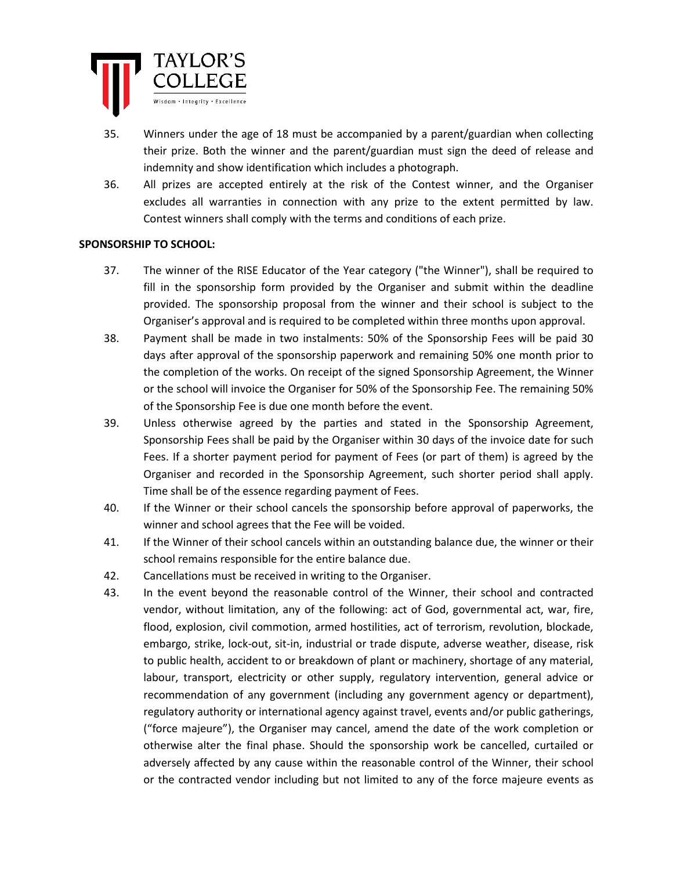

- 35. Winners under the age of 18 must be accompanied by a parent/guardian when collecting their prize. Both the winner and the parent/guardian must sign the deed of release and indemnity and show identification which includes a photograph.
- 36. All prizes are accepted entirely at the risk of the Contest winner, and the Organiser excludes all warranties in connection with any prize to the extent permitted by law. Contest winners shall comply with the terms and conditions of each prize.

## **SPONSORSHIP TO SCHOOL:**

- 37. The winner of the RISE Educator of the Year category ("the Winner"), shall be required to fill in the sponsorship form provided by the Organiser and submit within the deadline provided. The sponsorship proposal from the winner and their school is subject to the Organiser's approval and is required to be completed within three months upon approval.
- 38. Payment shall be made in two instalments: 50% of the Sponsorship Fees will be paid 30 days after approval of the sponsorship paperwork and remaining 50% one month prior to the completion of the works. On receipt of the signed Sponsorship Agreement, the Winner or the school will invoice the Organiser for 50% of the Sponsorship Fee. The remaining 50% of the Sponsorship Fee is due one month before the event.
- 39. Unless otherwise agreed by the parties and stated in the Sponsorship Agreement, Sponsorship Fees shall be paid by the Organiser within 30 days of the invoice date for such Fees. If a shorter payment period for payment of Fees (or part of them) is agreed by the Organiser and recorded in the Sponsorship Agreement, such shorter period shall apply. Time shall be of the essence regarding payment of Fees.
- 40. If the Winner or their school cancels the sponsorship before approval of paperworks, the winner and school agrees that the Fee will be voided.
- 41. If the Winner of their school cancels within an outstanding balance due, the winner or their school remains responsible for the entire balance due.
- 42. Cancellations must be received in writing to the Organiser.
- 43. In the event beyond the reasonable control of the Winner, their school and contracted vendor, without limitation, any of the following: act of God, governmental act, war, fire, flood, explosion, civil commotion, armed hostilities, act of terrorism, revolution, blockade, embargo, strike, lock-out, sit-in, industrial or trade dispute, adverse weather, disease, risk to public health, accident to or breakdown of plant or machinery, shortage of any material, labour, transport, electricity or other supply, regulatory intervention, general advice or recommendation of any government (including any government agency or department), regulatory authority or international agency against travel, events and/or public gatherings, ("force majeure"), the Organiser may cancel, amend the date of the work completion or otherwise alter the final phase. Should the sponsorship work be cancelled, curtailed or adversely affected by any cause within the reasonable control of the Winner, their school or the contracted vendor including but not limited to any of the force majeure events as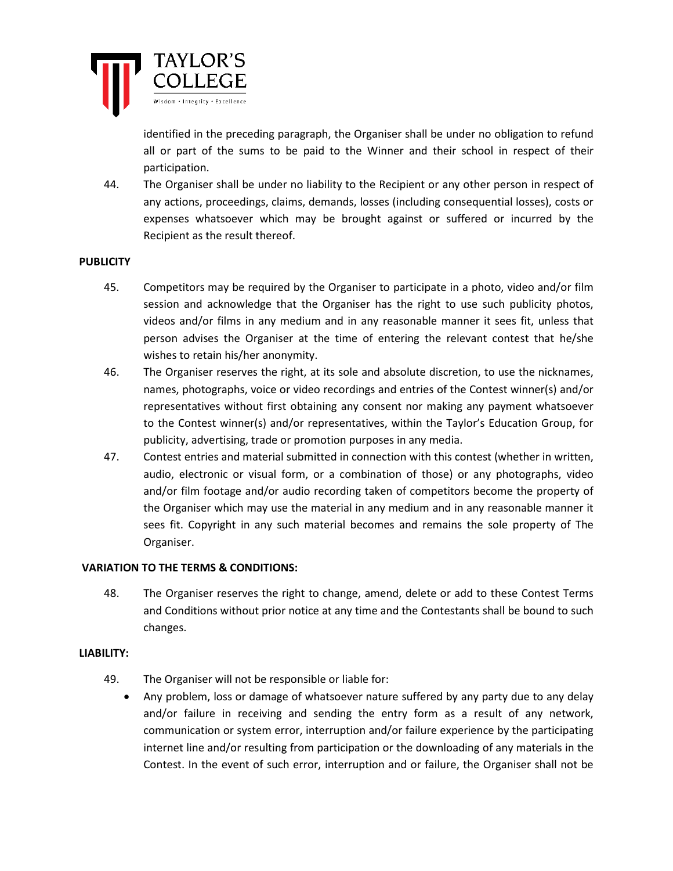

identified in the preceding paragraph, the Organiser shall be under no obligation to refund all or part of the sums to be paid to the Winner and their school in respect of their participation.

44. The Organiser shall be under no liability to the Recipient or any other person in respect of any actions, proceedings, claims, demands, losses (including consequential losses), costs or expenses whatsoever which may be brought against or suffered or incurred by the Recipient as the result thereof.

### **PUBLICITY**

- 45. Competitors may be required by the Organiser to participate in a photo, video and/or film session and acknowledge that the Organiser has the right to use such publicity photos, videos and/or films in any medium and in any reasonable manner it sees fit, unless that person advises the Organiser at the time of entering the relevant contest that he/she wishes to retain his/her anonymity.
- 46. The Organiser reserves the right, at its sole and absolute discretion, to use the nicknames, names, photographs, voice or video recordings and entries of the Contest winner(s) and/or representatives without first obtaining any consent nor making any payment whatsoever to the Contest winner(s) and/or representatives, within the Taylor's Education Group, for publicity, advertising, trade or promotion purposes in any media.
- 47. Contest entries and material submitted in connection with this contest (whether in written, audio, electronic or visual form, or a combination of those) or any photographs, video and/or film footage and/or audio recording taken of competitors become the property of the Organiser which may use the material in any medium and in any reasonable manner it sees fit. Copyright in any such material becomes and remains the sole property of The Organiser.

#### **VARIATION TO THE TERMS & CONDITIONS:**

48. The Organiser reserves the right to change, amend, delete or add to these Contest Terms and Conditions without prior notice at any time and the Contestants shall be bound to such changes.

#### **LIABILITY:**

- 49. The Organiser will not be responsible or liable for:
	- Any problem, loss or damage of whatsoever nature suffered by any party due to any delay and/or failure in receiving and sending the entry form as a result of any network, communication or system error, interruption and/or failure experience by the participating internet line and/or resulting from participation or the downloading of any materials in the Contest. In the event of such error, interruption and or failure, the Organiser shall not be